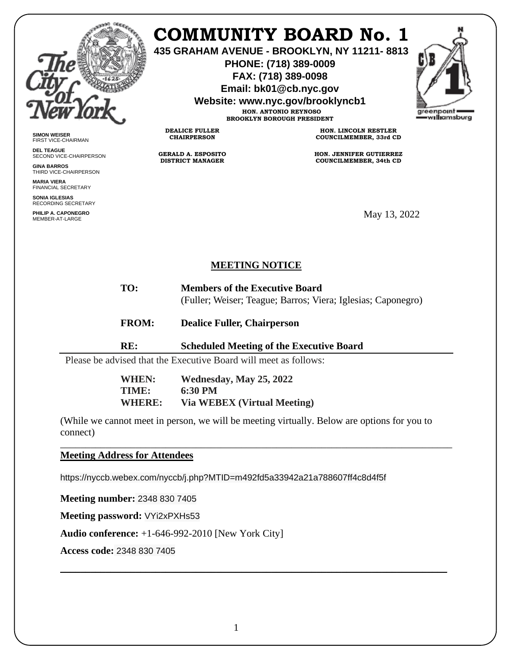

**SIMON WEISER** FIRST VICE-CHAIRMAN **DEL TEAGUE**

**GINA BARROS** THIRD VICE-CHAIRPERSON

**MARIA VIERA** FINANCIAL SECRETARY **SONIA IGLESIAS** SUNIA IGLESIAS<br>RECORDING SECRETARY **PHILIP A. CAPONEGRO** MEMBER-AT-LARGE

SECOND VICE-CHAIRPERSON

## **COMMUNITY BOARD No. 1**

**435 GRAHAM AVENUE - BROOKLYN, NY 11211- 8813**

**PHONE: (718) 389-0009 FAX: (718) 389-0098**

**Email: bk01@cb.nyc.gov**

**Website: www.nyc.gov/brooklyncb1**

**HON. ANTONIO REYNOSO BROOKLYN BOROUGH PRESIDENT**

**DEALICE FULLER CHAIRPERSON**

**GERALD A. ESPOSITO DISTRICT MANAGER**

**HON. LINCOLN RESTLER COUNCILMEMBER, 33rd CD**

**HON. JENNIFER GUTIERREZ COUNCILMEMBER, 34th CD**

May 13, 2022

## **MEETING NOTICE**

- **TO: Members of the Executive Board** (Fuller; Weiser; Teague; Barros; Viera; Iglesias; Caponegro)
- **FROM: Dealice Fuller, Chairperson**

## **RE: Scheduled Meeting of the Executive Board**

Please be advised that the Executive Board will meet as follows:

| <b>WHEN:</b>  | Wednesday, May 25, 2022            |
|---------------|------------------------------------|
| TIME:         | $6:30$ PM                          |
| <b>WHERE:</b> | <b>Via WEBEX (Virtual Meeting)</b> |

(While we cannot meet in person, we will be meeting virtually. Below are options for you to connect)

\_\_\_\_\_\_\_\_\_\_\_\_\_\_\_\_\_\_\_\_\_\_\_\_\_\_\_\_\_\_\_\_\_\_\_\_\_\_\_\_\_\_\_\_\_\_\_\_\_\_\_\_\_\_\_\_\_\_\_\_\_\_\_\_\_\_\_\_\_\_\_\_\_\_\_\_\_\_

\_\_\_\_\_\_\_\_\_\_\_\_\_\_\_\_\_\_\_\_\_\_\_\_\_\_\_\_\_\_\_\_\_\_\_\_\_\_\_\_\_\_\_\_\_\_\_\_\_\_\_\_\_\_\_\_\_\_\_\_\_\_\_\_\_\_\_\_\_\_\_\_\_\_\_\_\_

**Meeting Address for Attendees** 

https://nyccb.webex.com/nyccb/j.php?MTID=m492fd5a33942a21a788607ff4c8d4f5f

**Meeting number:** 2348 830 7405

**Meeting password:** VYi2xPXHs53

**Audio conference:** +1-646-992-2010 [New York City]

**Access code:** 2348 830 7405